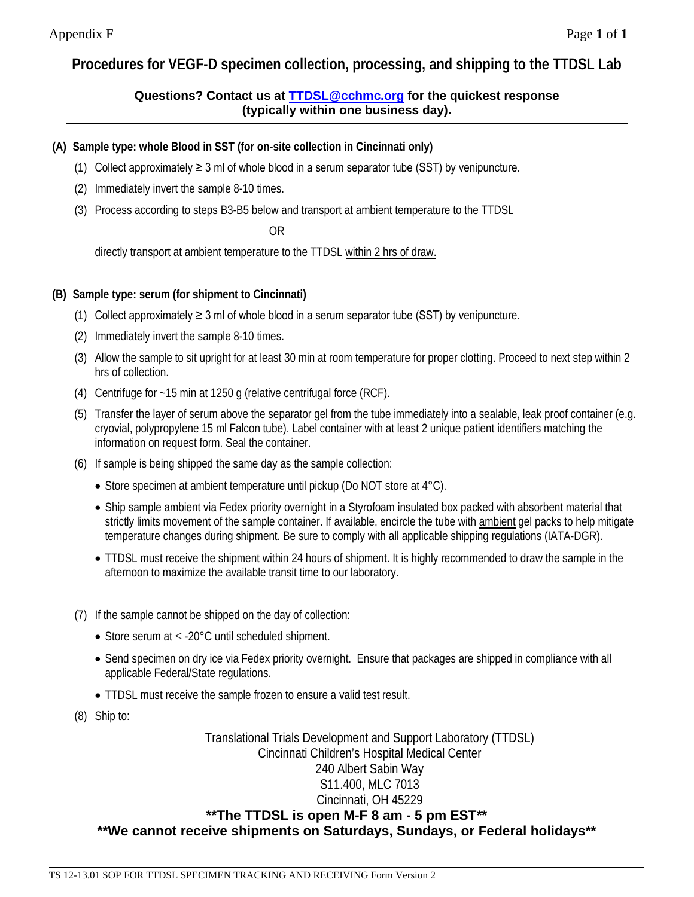## **Procedures for VEGF-D specimen collection, processing, and shipping to the TTDSL Lab**

## **Questions? Contact us at [TTDSL@cchmc.org](mailto:TTDSL@cchmc.org) for the quickest response (typically within one business day).**

**(A) Sample type: whole Blood in SST (for on-site collection in Cincinnati only)**

- (1) Collect approximately  $\geq 3$  ml of whole blood in a serum separator tube (SST) by venipuncture.
- (2) Immediately invert the sample 8-10 times.
- (3) Process according to steps B3-B5 below and transport at ambient temperature to the TTDSL

OR

directly transport at ambient temperature to the TTDSL within 2 hrs of draw.

## **(B) Sample type: serum (for shipment to Cincinnati)**

- (1) Collect approximately  $\geq 3$  ml of whole blood in a serum separator tube (SST) by venipuncture.
- (2) Immediately invert the sample 8-10 times.
- (3) Allow the sample to sit upright for at least 30 min at room temperature for proper clotting. Proceed to next step within 2 hrs of collection.
- (4) Centrifuge for ~15 min at 1250 g (relative centrifugal force (RCF).
- (5) Transfer the layer of serum above the separator gel from the tube immediately into a sealable, leak proof container (e.g. cryovial, polypropylene 15 ml Falcon tube). Label container with at least 2 unique patient identifiers matching the information on request form. Seal the container.
- (6) If sample is being shipped the same day as the sample collection:
	- Store specimen at ambient temperature until pickup (Do NOT store at 4°C).
	- Ship sample ambient via Fedex priority overnight in a Styrofoam insulated box packed with absorbent material that strictly limits movement of the sample container. If available, encircle the tube with ambient gel packs to help mitigate temperature changes during shipment. Be sure to comply with all applicable shipping regulations (IATA-DGR).
	- TTDSL must receive the shipment within 24 hours of shipment. It is highly recommended to draw the sample in the afternoon to maximize the available transit time to our laboratory.
- (7) If the sample cannot be shipped on the day of collection:
	- Store serum at ≤ -20°C until scheduled shipment.
	- Send specimen on dry ice via Fedex priority overnight. Ensure that packages are shipped in compliance with all applicable Federal/State regulations.
	- TTDSL must receive the sample frozen to ensure a valid test result.
- (8) Ship to:

Translational Trials Development and Support Laboratory (TTDSL) Cincinnati Children's Hospital Medical Center 240 Albert Sabin Way S11.400, MLC 7013 Cincinnati, OH 45229 **\*\*The TTDSL is open M-F 8 am - 5 pm EST\*\* \*\*We cannot receive shipments on Saturdays, Sundays, or Federal holidays\*\***